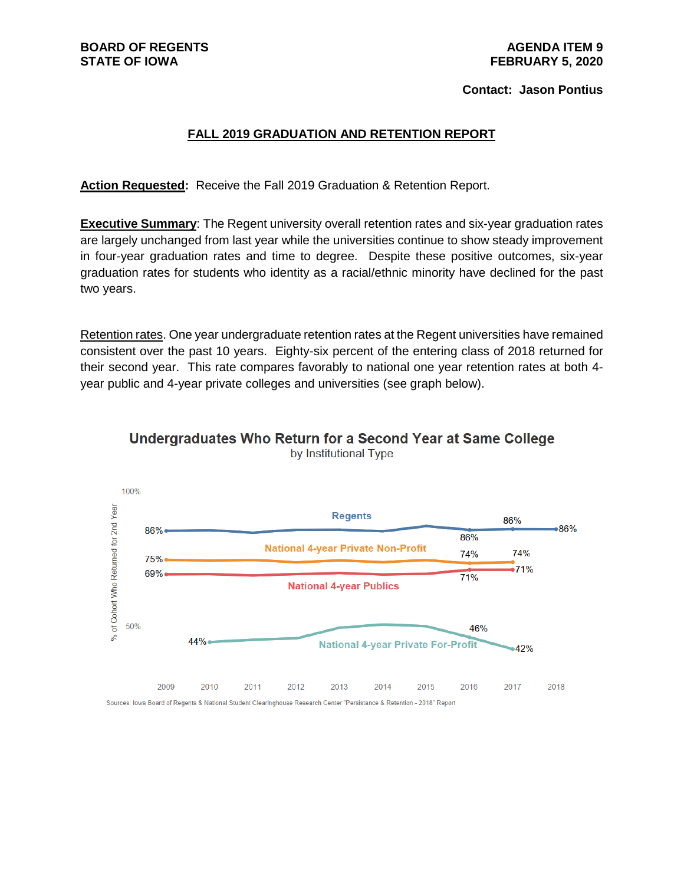# **STATE OF IOWA FEBRUARY 5, 2020**

#### **Contact: Jason Pontius**

#### **FALL 2019 GRADUATION AND RETENTION REPORT**

**Action Requested:** Receive the Fall 2019 Graduation & Retention Report.

**Executive Summary**: The Regent university overall retention rates and six-year graduation rates are largely unchanged from last year while the universities continue to show steady improvement in four-year graduation rates and time to degree. Despite these positive outcomes, six-year graduation rates for students who identity as a racial/ethnic minority have declined for the past two years.

Retention rates. One year undergraduate retention rates at the Regent universities have remained consistent over the past 10 years. Eighty-six percent of the entering class of 2018 returned for their second year. This rate compares favorably to national one year retention rates at both 4 year public and 4-year private colleges and universities (see graph below).



Undergraduates Who Return for a Second Year at Same College by Institutional Type

2009 2010 2011 2012 2013 2014 2015 2016 2017 2018 Sources: Iowa Board of Regents & National Student Clearinghouse Research Center "Persistance & Retention - 2018" Report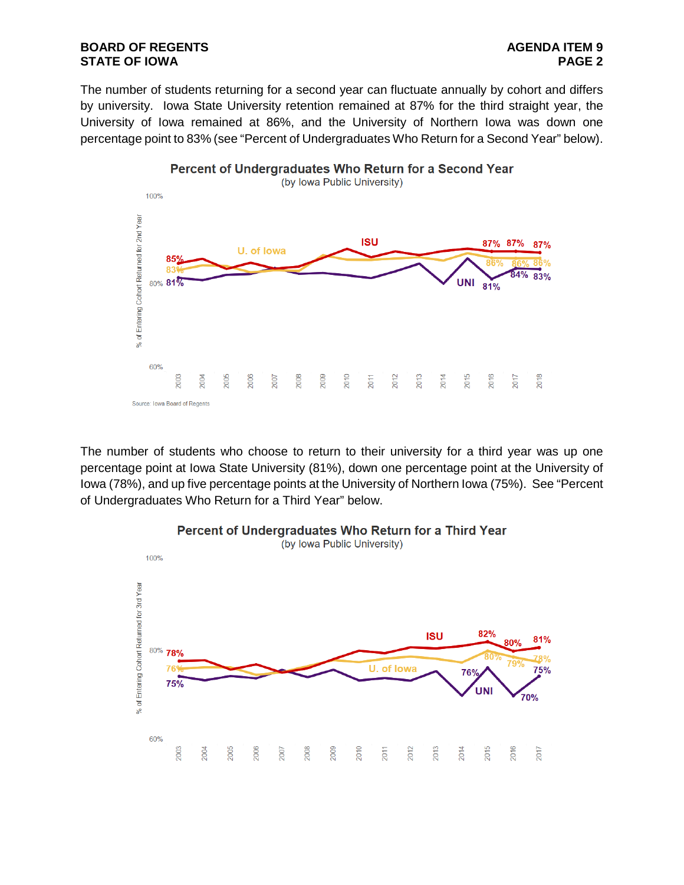#### **BOARD OF REGENTS**<br> **BOARD OF REGENTS**<br> **BOARD OF IOWA**<br> **BOARD OF IOWA STATE OF IOWA**

The number of students returning for a second year can fluctuate annually by cohort and differs by university. Iowa State University retention remained at 87% for the third straight year, the University of Iowa remained at 86%, and the University of Northern Iowa was down one percentage point to 83% (see "Percent of Undergraduates Who Return for a Second Year" below).



The number of students who choose to return to their university for a third year was up one percentage point at Iowa State University (81%), down one percentage point at the University of Iowa (78%), and up five percentage points at the University of Northern Iowa (75%). See "Percent of Undergraduates Who Return for a Third Year" below.

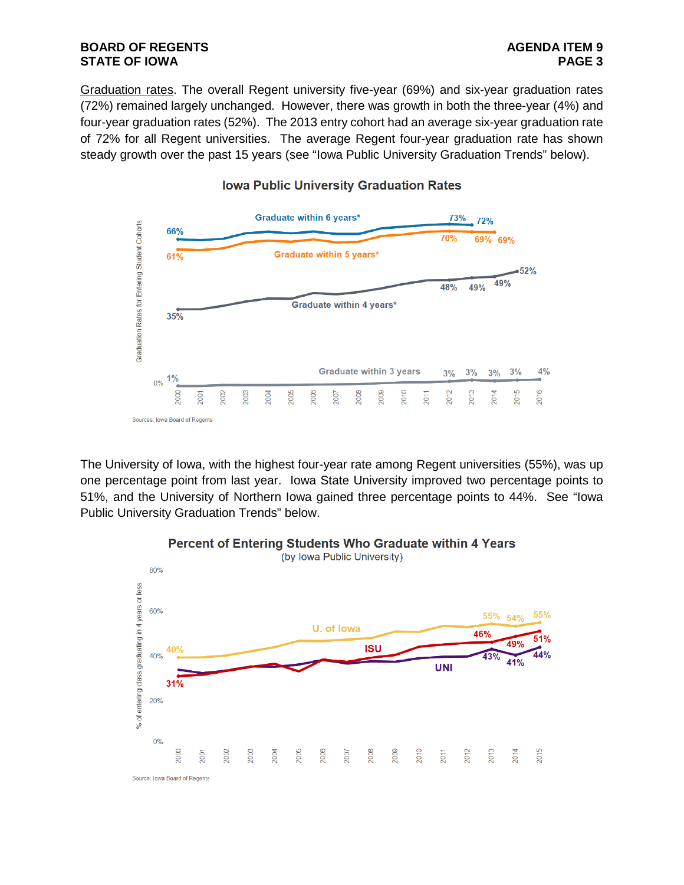Graduation rates. The overall Regent university five-year (69%) and six-year graduation rates (72%) remained largely unchanged. However, there was growth in both the three-year (4%) and four-year graduation rates (52%). The 2013 entry cohort had an average six-year graduation rate of 72% for all Regent universities. The average Regent four-year graduation rate has shown steady growth over the past 15 years (see "Iowa Public University Graduation Trends" below).



#### **Iowa Public University Graduation Rates**

The University of Iowa, with the highest four-year rate among Regent universities (55%), was up one percentage point from last year. Iowa State University improved two percentage points to 51%, and the University of Northern Iowa gained three percentage points to 44%. See "Iowa Public University Graduation Trends" below.



## Percent of Entering Students Who Graduate within 4 Years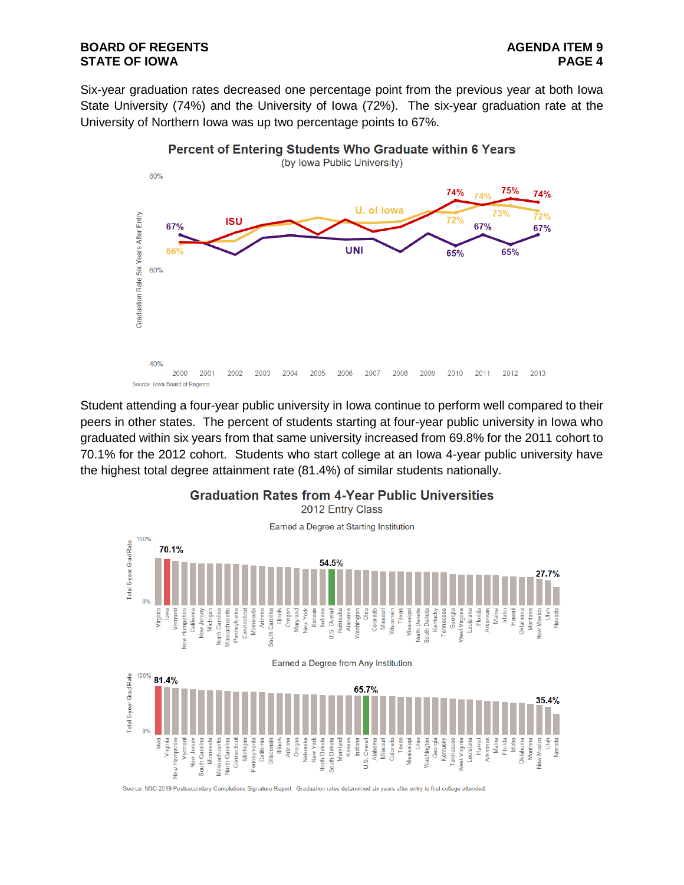#### **BOARD OF REGENTS AGENDA ITEM 9 STATE OF IOWA**

Six-year graduation rates decreased one percentage point from the previous year at both Iowa State University (74%) and the University of Iowa (72%). The six-year graduation rate at the University of Northern Iowa was up two percentage points to 67%.



Student attending a four-year public university in Iowa continue to perform well compared to their peers in other states. The percent of students starting at four-year public university in Iowa who graduated within six years from that same university increased from 69.8% for the 2011 cohort to 70.1% for the 2012 cohort. Students who start college at an Iowa 4-year public university have the highest total degree attainment rate (81.4%) of similar students nationally.

**Graduation Rates from 4-Year Public Universities** 



Source: NSC 2019 Postsecondary Completions Signature Report. Graduation rates determined six years after entry to first college attended.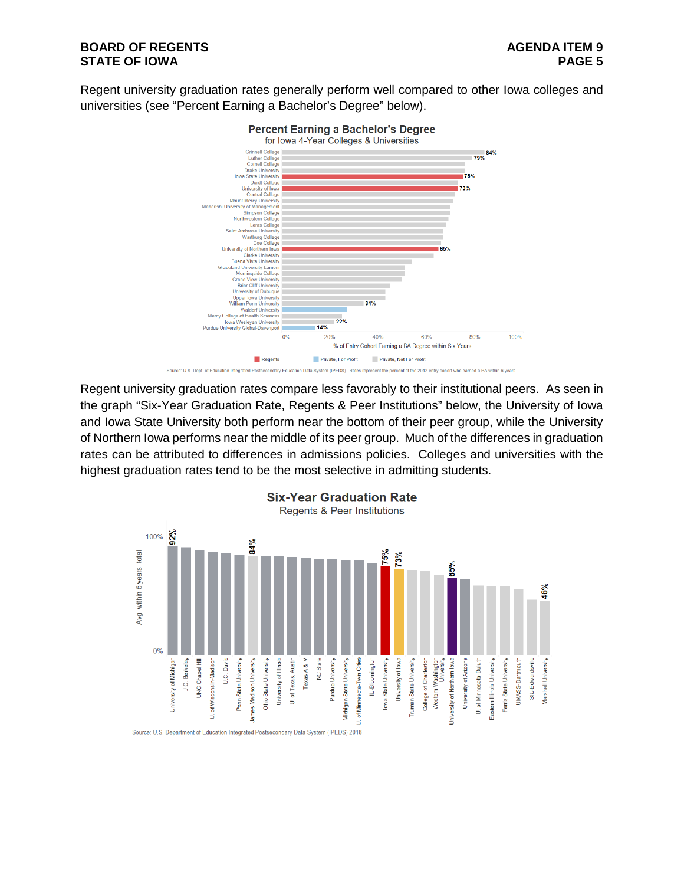#### **BOARD OF REGENTS AGENDA ITEM 9 STATE OF IOWA**

Regent university graduation rates generally perform well compared to other Iowa colleges and universities (see "Percent Earning a Bachelor's Degree" below).



Regent university graduation rates compare less favorably to their institutional peers. As seen in the graph "Six-Year Graduation Rate, Regents & Peer Institutions" below, the University of Iowa and Iowa State University both perform near the bottom of their peer group, while the University of Northern Iowa performs near the middle of its peer group. Much of the differences in graduation rates can be attributed to differences in admissions policies. Colleges and universities with the highest graduation rates tend to be the most selective in admitting students.

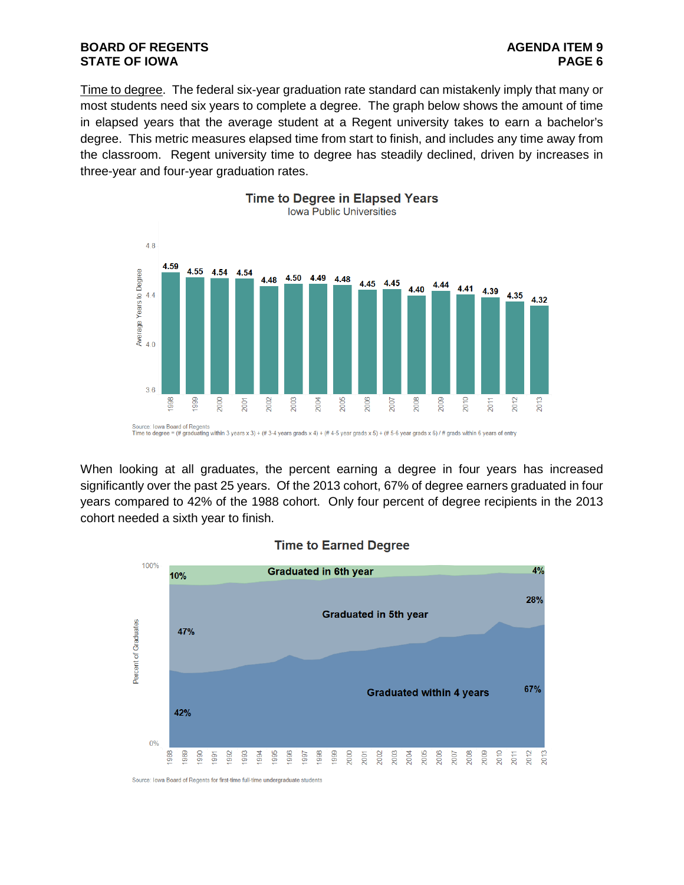#### **BOARD OF REGENTS AGENDA ITEM 9 STATE OF IOWA**

Time to degree. The federal six-year graduation rate standard can mistakenly imply that many or most students need six years to complete a degree. The graph below shows the amount of time in elapsed years that the average student at a Regent university takes to earn a bachelor's degree. This metric measures elapsed time from start to finish, and includes any time away from the classroom. Regent university time to degree has steadily declined, driven by increases in three-year and four-year graduation rates.



When looking at all graduates, the percent earning a degree in four years has increased significantly over the past 25 years. Of the 2013 cohort, 67% of degree earners graduated in four years compared to 42% of the 1988 cohort. Only four percent of degree recipients in the 2013 cohort needed a sixth year to finish.



#### **Time to Earned Degree**

Source: Iowa Board of Regents for first-time full-time undergraduate students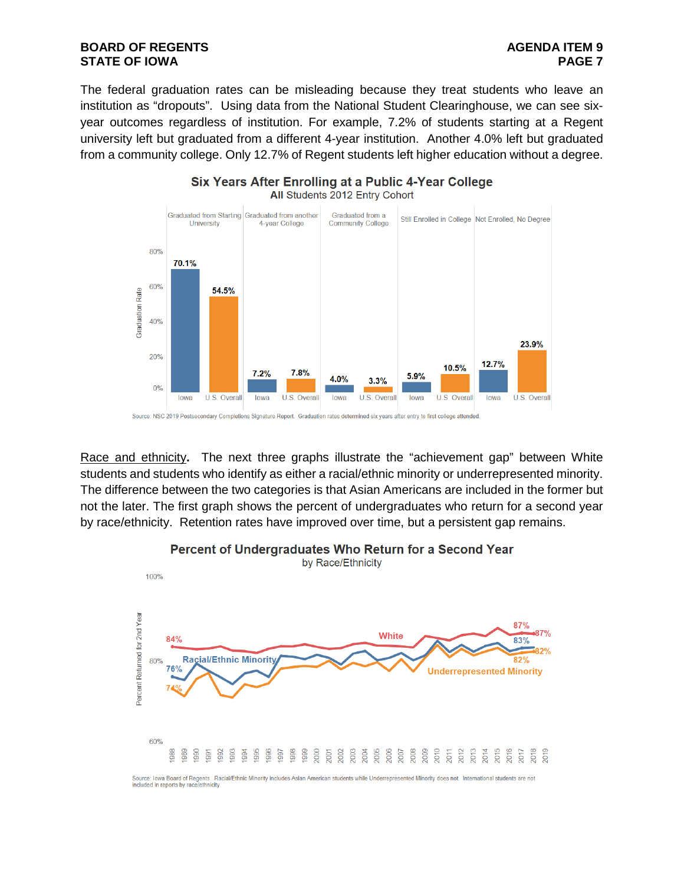#### **BOARD OF REGENTS**<br>STATE OF IOWA **PAGE 2 STATE OF IOWA**

The federal graduation rates can be misleading because they treat students who leave an institution as "dropouts". Using data from the National Student Clearinghouse, we can see sixyear outcomes regardless of institution. For example, 7.2% of students starting at a Regent university left but graduated from a different 4-year institution. Another 4.0% left but graduated from a community college. Only 12.7% of Regent students left higher education without a degree.



Race and ethnicity**.** The next three graphs illustrate the "achievement gap" between White students and students who identify as either a racial/ethnic minority or underrepresented minority. The difference between the two categories is that Asian Americans are included in the former but not the later. The first graph shows the percent of undergraduates who return for a second year by race/ethnicity. Retention rates have improved over time, but a persistent gap remains.



# Percent of Undergraduates Who Return for a Second Year

Source: Iowa Board of Regents. Racial/Ethnic Minority includes Asian American students while Underrepresented Minority does not. International students are not included in reports by race/ethnicity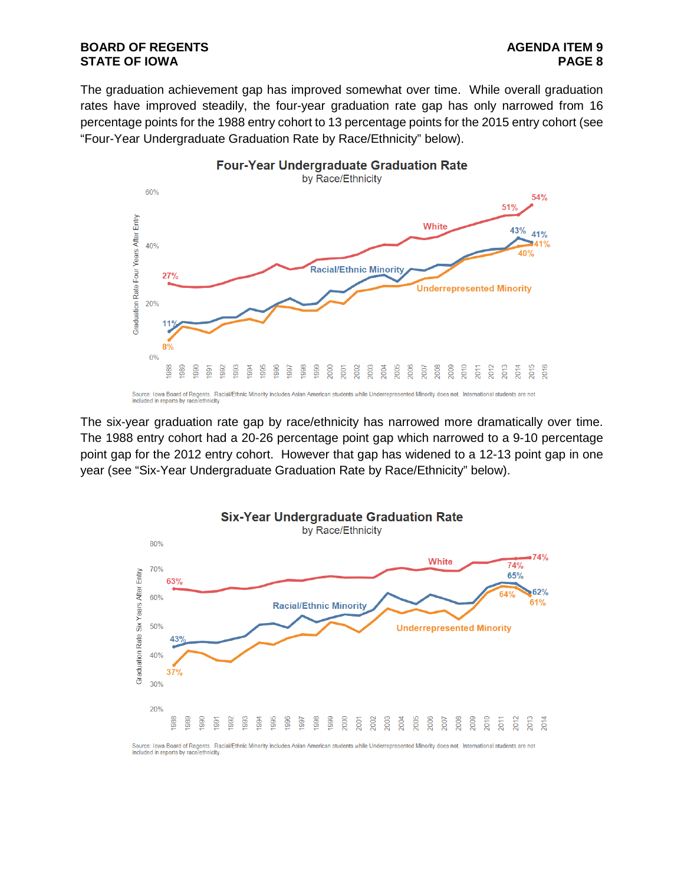#### **BOARD OF REGENTS**<br> **BOARD OF REGENTS**<br> **BOARD OF IOWA STATE OF IOWA**

The graduation achievement gap has improved somewhat over time. While overall graduation rates have improved steadily, the four-year graduation rate gap has only narrowed from 16 percentage points for the 1988 entry cohort to 13 percentage points for the 2015 entry cohort (see "Four-Year Undergraduate Graduation Rate by Race/Ethnicity" below).



The six-year graduation rate gap by race/ethnicity has narrowed more dramatically over time. The 1988 entry cohort had a 20-26 percentage point gap which narrowed to a 9-10 percentage point gap for the 2012 entry cohort. However that gap has widened to a 12-13 point gap in one year (see "Six-Year Undergraduate Graduation Rate by Race/Ethnicity" below).

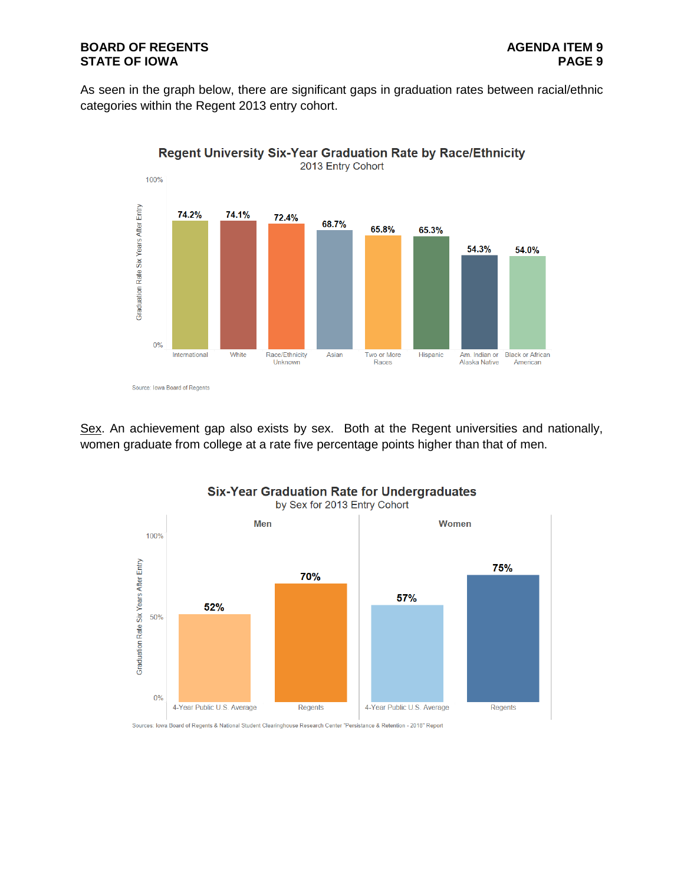#### **BOARD OF REGENTS**<br>STATE OF IOWA **PAGES STATE OF IOWA**

As seen in the graph below, there are significant gaps in graduation rates between racial/ethnic categories within the Regent 2013 entry cohort.



Sex. An achievement gap also exists by sex. Both at the Regent universities and nationally, women graduate from college at a rate five percentage points higher than that of men.



### **Six-Year Graduation Rate for Undergraduates**

Sources: Iowa Board of Regents & National Student Clearinghouse Research Center "Persistance & Retention - 2018" Report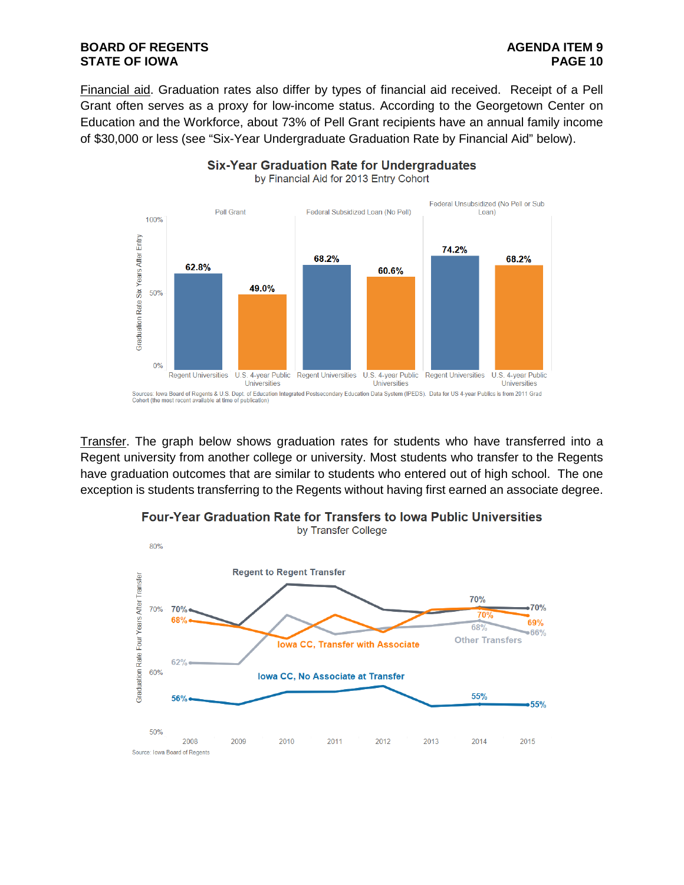#### **BOARD OF REGENTS**<br>STATE OF IOWA **PAGE 10 STATE OF IOWA**

Financial aid. Graduation rates also differ by types of financial aid received. Receipt of a Pell Grant often serves as a proxy for low-income status. According to the Georgetown Center on Education and the Workforce, about 73% of Pell Grant recipients have an annual family income of \$30,000 or less (see "Six-Year Undergraduate Graduation Rate by Financial Aid" below).

**Six-Year Graduation Rate for Undergraduates** 



Transfer. The graph below shows graduation rates for students who have transferred into a Regent university from another college or university. Most students who transfer to the Regents have graduation outcomes that are similar to students who entered out of high school. The one exception is students transferring to the Regents without having first earned an associate degree.



# **Four-Year Graduation Rate for Transfers to lowa Public Universities**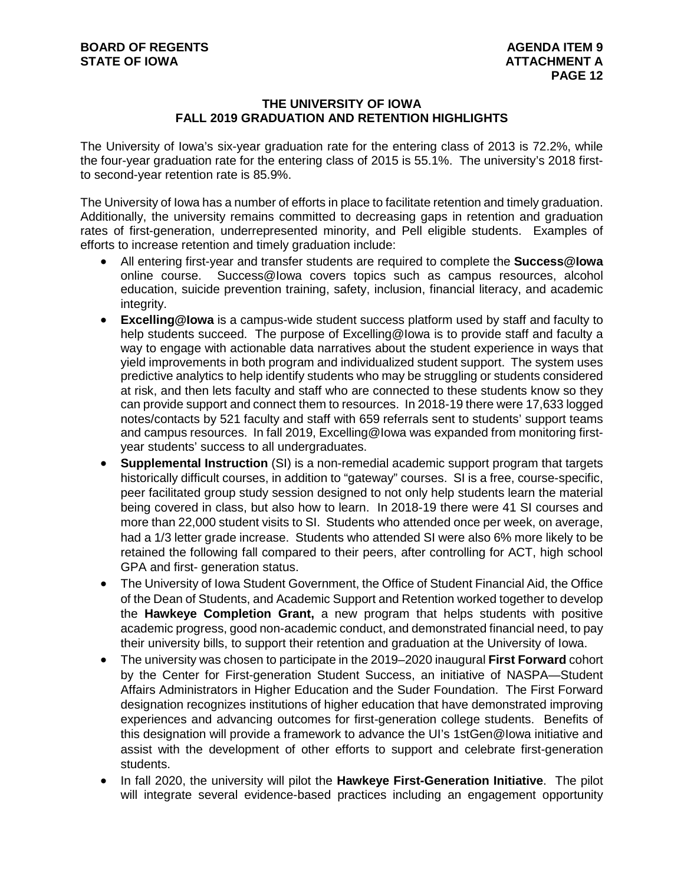#### **THE UNIVERSITY OF IOWA FALL 2019 GRADUATION AND RETENTION HIGHLIGHTS**

The University of Iowa's six-year graduation rate for the entering class of 2013 is 72.2%, while the four-year graduation rate for the entering class of 2015 is 55.1%. The university's 2018 firstto second-year retention rate is 85.9%.

The University of Iowa has a number of efforts in place to facilitate retention and timely graduation. Additionally, the university remains committed to decreasing gaps in retention and graduation rates of first-generation, underrepresented minority, and Pell eligible students. Examples of efforts to increase retention and timely graduation include:

- All entering first-year and transfer students are required to complete the **Success@Iowa** online course. Success@Iowa covers topics such as campus resources, alcohol education, suicide prevention training, safety, inclusion, financial literacy, and academic integrity.
- **Excelling@Iowa** is a campus-wide student success platform used by staff and faculty to help students succeed. The purpose of Excelling@Iowa is to provide staff and faculty a way to engage with actionable data narratives about the student experience in ways that yield improvements in both program and individualized student support. The system uses predictive analytics to help identify students who may be struggling or students considered at risk, and then lets faculty and staff who are connected to these students know so they can provide support and connect them to resources. In 2018-19 there were 17,633 logged notes/contacts by 521 faculty and staff with 659 referrals sent to students' support teams and campus resources. In fall 2019, Excelling@Iowa was expanded from monitoring firstyear students' success to all undergraduates.
- **Supplemental Instruction** (SI) is a non-remedial academic support program that targets historically difficult courses, in addition to "gateway" courses. SI is a free, course-specific, peer facilitated group study session designed to not only help students learn the material being covered in class, but also how to learn. In 2018-19 there were 41 SI courses and more than 22,000 student visits to SI. Students who attended once per week, on average, had a 1/3 letter grade increase. Students who attended SI were also 6% more likely to be retained the following fall compared to their peers, after controlling for ACT, high school GPA and first- generation status.
- The University of Iowa Student Government, the Office of Student Financial Aid, the Office of the Dean of Students, and Academic Support and Retention worked together to develop the **Hawkeye Completion Grant,** a new program that helps students with positive academic progress, good non-academic conduct, and demonstrated financial need, to pay their university bills, to support their retention and graduation at the University of Iowa.
- The university was chosen to participate in the 2019–2020 inaugural **First Forward** cohort by the Center for First-generation Student Success, an initiative of NASPA—Student Affairs Administrators in Higher Education and the Suder Foundation. The First Forward designation recognizes institutions of higher education that have demonstrated improving experiences and advancing outcomes for first-generation college students. Benefits of this designation will provide a framework to advance the UI's 1stGen@Iowa initiative and assist with the development of other efforts to support and celebrate first-generation students.
- In fall 2020, the university will pilot the **Hawkeye First-Generation Initiative**. The pilot will integrate several evidence-based practices including an engagement opportunity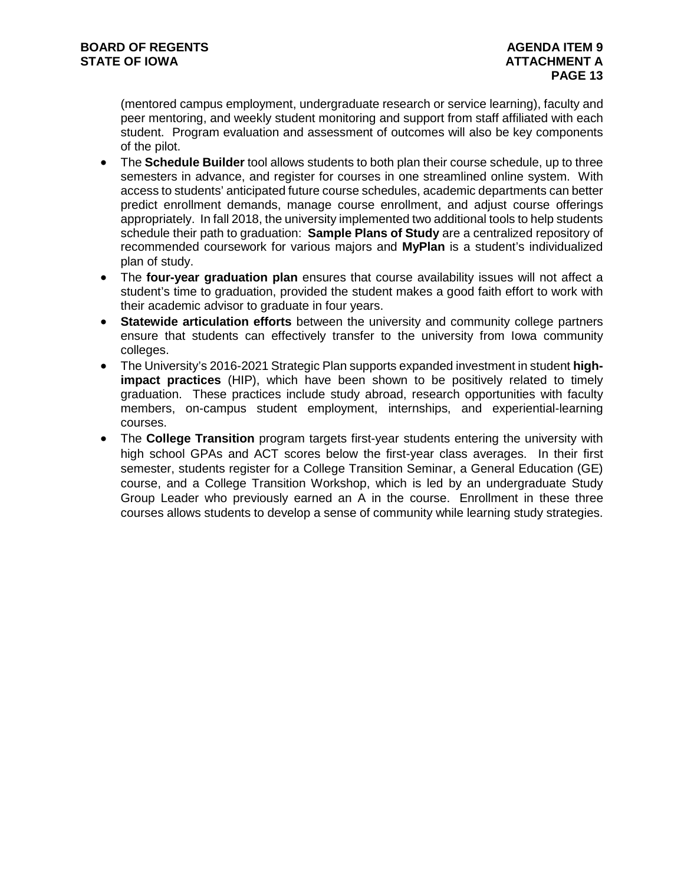(mentored campus employment, undergraduate research or service learning), faculty and peer mentoring, and weekly student monitoring and support from staff affiliated with each student. Program evaluation and assessment of outcomes will also be key components of the pilot.

- The **Schedule Builder** tool allows students to both plan their course schedule, up to three semesters in advance, and register for courses in one streamlined online system. With access to students' anticipated future course schedules, academic departments can better predict enrollment demands, manage course enrollment, and adjust course offerings appropriately. In fall 2018, the university implemented two additional tools to help students schedule their path to graduation: **Sample Plans of Study** are a centralized repository of recommended coursework for various majors and **MyPlan** is a student's individualized plan of study.
- The **four-year graduation plan** ensures that course availability issues will not affect a student's time to graduation, provided the student makes a good faith effort to work with their academic advisor to graduate in four years.
- **Statewide articulation efforts** between the university and community college partners ensure that students can effectively transfer to the university from Iowa community colleges.
- The University's 2016-2021 Strategic Plan supports expanded investment in student **highimpact practices** (HIP), which have been shown to be positively related to timely graduation. These practices include study abroad, research opportunities with faculty members, on-campus student employment, internships, and experiential-learning courses.
- The **College Transition** program targets first-year students entering the university with high school GPAs and ACT scores below the first-year class averages. In their first semester, students register for a College Transition Seminar, a General Education (GE) course, and a College Transition Workshop, which is led by an undergraduate Study Group Leader who previously earned an A in the course. Enrollment in these three courses allows students to develop a sense of community while learning study strategies.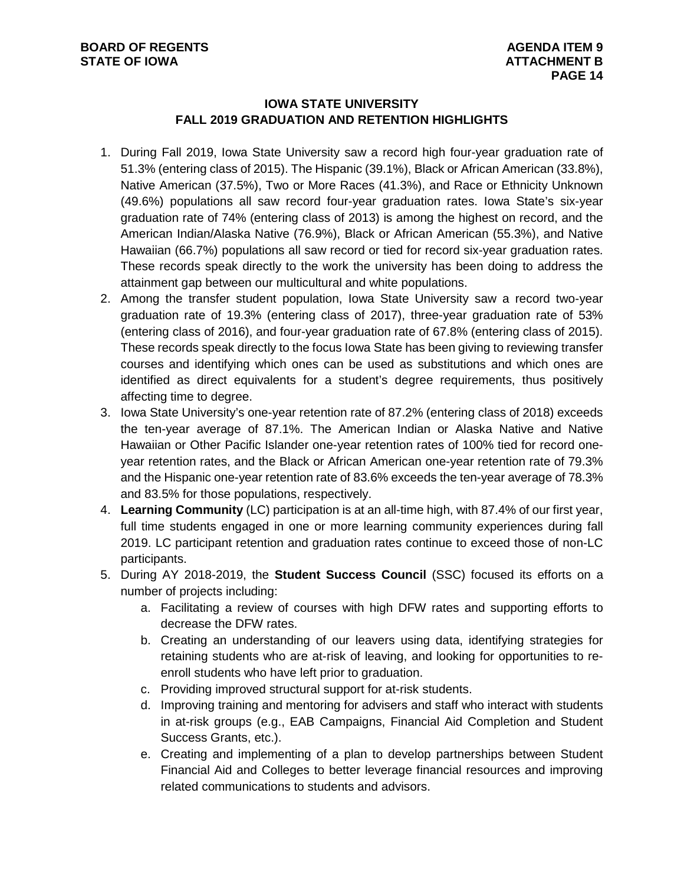#### **IOWA STATE UNIVERSITY FALL 2019 GRADUATION AND RETENTION HIGHLIGHTS**

- 1. During Fall 2019, Iowa State University saw a record high four-year graduation rate of 51.3% (entering class of 2015). The Hispanic (39.1%), Black or African American (33.8%), Native American (37.5%), Two or More Races (41.3%), and Race or Ethnicity Unknown (49.6%) populations all saw record four-year graduation rates. Iowa State's six-year graduation rate of 74% (entering class of 2013) is among the highest on record, and the American Indian/Alaska Native (76.9%), Black or African American (55.3%), and Native Hawaiian (66.7%) populations all saw record or tied for record six-year graduation rates. These records speak directly to the work the university has been doing to address the attainment gap between our multicultural and white populations.
- 2. Among the transfer student population, Iowa State University saw a record two-year graduation rate of 19.3% (entering class of 2017), three-year graduation rate of 53% (entering class of 2016), and four-year graduation rate of 67.8% (entering class of 2015). These records speak directly to the focus Iowa State has been giving to reviewing transfer courses and identifying which ones can be used as substitutions and which ones are identified as direct equivalents for a student's degree requirements, thus positively affecting time to degree.
- 3. Iowa State University's one-year retention rate of 87.2% (entering class of 2018) exceeds the ten-year average of 87.1%. The American Indian or Alaska Native and Native Hawaiian or Other Pacific Islander one-year retention rates of 100% tied for record oneyear retention rates, and the Black or African American one-year retention rate of 79.3% and the Hispanic one-year retention rate of 83.6% exceeds the ten-year average of 78.3% and 83.5% for those populations, respectively.
- 4. **Learning Community** (LC) participation is at an all-time high, with 87.4% of our first year, full time students engaged in one or more learning community experiences during fall 2019. LC participant retention and graduation rates continue to exceed those of non-LC participants.
- 5. During AY 2018-2019, the **Student Success Council** (SSC) focused its efforts on a number of projects including:
	- a. Facilitating a review of courses with high DFW rates and supporting efforts to decrease the DFW rates.
	- b. Creating an understanding of our leavers using data, identifying strategies for retaining students who are at-risk of leaving, and looking for opportunities to reenroll students who have left prior to graduation.
	- c. Providing improved structural support for at-risk students.
	- d. Improving training and mentoring for advisers and staff who interact with students in at-risk groups (e.g., EAB Campaigns, Financial Aid Completion and Student Success Grants, etc.).
	- e. Creating and implementing of a plan to develop partnerships between Student Financial Aid and Colleges to better leverage financial resources and improving related communications to students and advisors.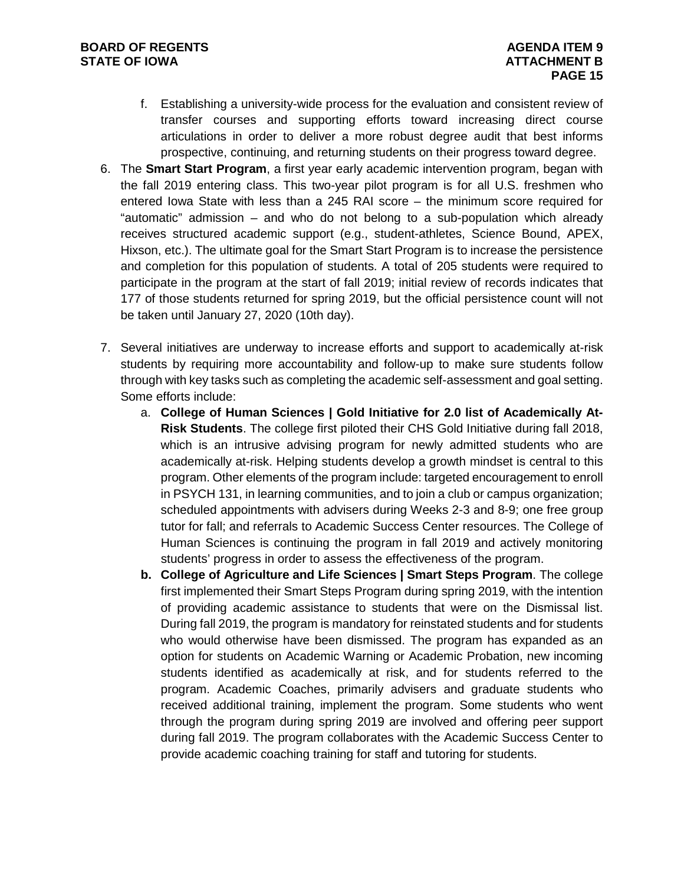- f. Establishing a university-wide process for the evaluation and consistent review of transfer courses and supporting efforts toward increasing direct course articulations in order to deliver a more robust degree audit that best informs prospective, continuing, and returning students on their progress toward degree.
- 6. The **Smart Start Program**, a first year early academic intervention program, began with the fall 2019 entering class. This two-year pilot program is for all U.S. freshmen who entered Iowa State with less than a 245 RAI score – the minimum score required for "automatic" admission – and who do not belong to a sub-population which already receives structured academic support (e.g., student-athletes, Science Bound, APEX, Hixson, etc.). The ultimate goal for the Smart Start Program is to increase the persistence and completion for this population of students. A total of 205 students were required to participate in the program at the start of fall 2019; initial review of records indicates that 177 of those students returned for spring 2019, but the official persistence count will not be taken until January 27, 2020 (10th day).
- 7. Several initiatives are underway to increase efforts and support to academically at-risk students by requiring more accountability and follow-up to make sure students follow through with key tasks such as completing the academic self-assessment and goal setting. Some efforts include:
	- a. **College of Human Sciences | Gold Initiative for 2.0 list of Academically At-Risk Students**. The college first piloted their CHS Gold Initiative during fall 2018, which is an intrusive advising program for newly admitted students who are academically at-risk. Helping students develop a growth mindset is central to this program. Other elements of the program include: targeted encouragement to enroll in PSYCH 131, in learning communities, and to join a club or campus organization; scheduled appointments with advisers during Weeks 2-3 and 8-9; one free group tutor for fall; and referrals to Academic Success Center resources. The College of Human Sciences is continuing the program in fall 2019 and actively monitoring students' progress in order to assess the effectiveness of the program.
	- **b. College of Agriculture and Life Sciences | Smart Steps Program**. The college first implemented their Smart Steps Program during spring 2019, with the intention of providing academic assistance to students that were on the Dismissal list. During fall 2019, the program is mandatory for reinstated students and for students who would otherwise have been dismissed. The program has expanded as an option for students on Academic Warning or Academic Probation, new incoming students identified as academically at risk, and for students referred to the program. Academic Coaches, primarily advisers and graduate students who received additional training, implement the program. Some students who went through the program during spring 2019 are involved and offering peer support during fall 2019. The program collaborates with the Academic Success Center to provide academic coaching training for staff and tutoring for students.